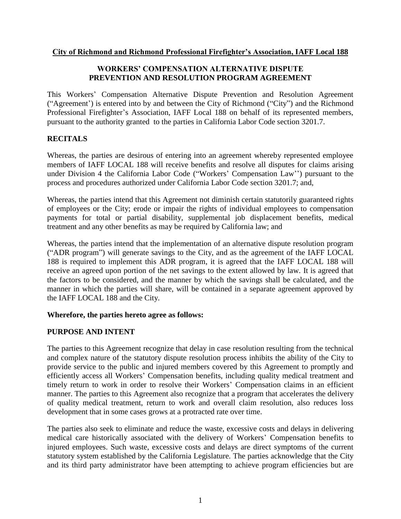### **City of Richmond and Richmond Professional Firefighter's Association, IAFF Local 188**

# **WORKERS' COMPENSATION ALTERNATIVE DISPUTE PREVENTION AND RESOLUTION PROGRAM AGREEMENT**

This Workers' Compensation Alternative Dispute Prevention and Resolution Agreement ("Agreement') is entered into by and between the City of Richmond ("City") and the Richmond Professional Firefighter's Association, IAFF Local 188 on behalf of its represented members, pursuant to the authority granted to the parties in California Labor Code section 3201.7.

# **RECITALS**

Whereas, the parties are desirous of entering into an agreement whereby represented employee members of IAFF LOCAL 188 will receive benefits and resolve all disputes for claims arising under Division 4 the California Labor Code ("Workers' Compensation Law'') pursuant to the process and procedures authorized under California Labor Code section 3201.7; and,

Whereas, the parties intend that this Agreement not diminish certain statutorily guaranteed rights of employees or the City; erode or impair the rights of individual employees to compensation payments for total or partial disability, supplemental job displacement benefits, medical treatment and any other benefits as may be required by California law; and

Whereas, the parties intend that the implementation of an alternative dispute resolution program ("ADR program") will generate savings to the City, and as the agreement of the IAFF LOCAL 188 is required to implement this ADR program, it is agreed that the IAFF LOCAL 188 will receive an agreed upon portion of the net savings to the extent allowed by law. It is agreed that the factors to be considered, and the manner by which the savings shall be calculated, and the manner in which the parties will share, will be contained in a separate agreement approved by the IAFF LOCAL 188 and the City.

# **Wherefore, the parties hereto agree as follows:**

# **PURPOSE AND INTENT**

The parties to this Agreement recognize that delay in case resolution resulting from the technical and complex nature of the statutory dispute resolution process inhibits the ability of the City to provide service to the public and injured members covered by this Agreement to promptly and efficiently access all Workers' Compensation benefits, including quality medical treatment and timely return to work in order to resolve their Workers' Compensation claims in an efficient manner. The parties to this Agreement also recognize that a program that accelerates the delivery of quality medical treatment, return to work and overall claim resolution, also reduces loss development that in some cases grows at a protracted rate over time.

The parties also seek to eliminate and reduce the waste, excessive costs and delays in delivering medical care historically associated with the delivery of Workers' Compensation benefits to injured employees. Such waste, excessive costs and delays are direct symptoms of the current statutory system established by the California Legislature. The parties acknowledge that the City and its third party administrator have been attempting to achieve program efficiencies but are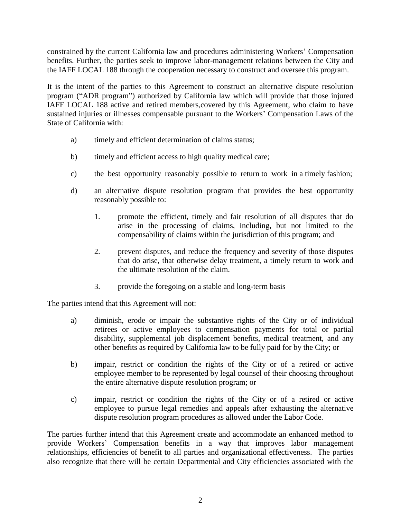constrained by the current California law and procedures administering Workers' Compensation benefits. Further, the parties seek to improve labor-management relations between the City and the IAFF LOCAL 188 through the cooperation necessary to construct and oversee this program.

It is the intent of the parties to this Agreement to construct an alternative dispute resolution program ("ADR program") authorized by California law which will provide that those injured IAFF LOCAL 188 active and retired members,covered by this Agreement, who claim to have sustained injuries or illnesses compensable pursuant to the Workers' Compensation Laws of the State of California with:

- a) timely and efficient determination of claims status;
- b) timely and efficient access to high quality medical care;
- c) the best opportunity reasonably possible to return to work in a timely fashion;
- d) an alternative dispute resolution program that provides the best opportunity reasonably possible to:
	- 1. promote the efficient, timely and fair resolution of all disputes that do arise in the processing of claims, including, but not limited to the compensability of claims within the jurisdiction of this program; and
	- 2. prevent disputes, and reduce the frequency and severity of those disputes that do arise, that otherwise delay treatment, a timely return to work and the ultimate resolution of the claim.
	- 3. provide the foregoing on a stable and long-term basis

The parties intend that this Agreement will not:

- a) diminish, erode or impair the substantive rights of the City or of individual retirees or active employees to compensation payments for total or partial disability, supplemental job displacement benefits, medical treatment, and any other benefits as required by California law to be fully paid for by the City; or
- b) impair, restrict or condition the rights of the City or of a retired or active employee member to be represented by legal counsel of their choosing throughout the entire alternative dispute resolution program; or
- c) impair, restrict or condition the rights of the City or of a retired or active employee to pursue legal remedies and appeals after exhausting the alternative dispute resolution program procedures as allowed under the Labor Code.

The parties further intend that this Agreement create and accommodate an enhanced method to provide Workers' Compensation benefits in a way that improves labor management relationships, efficiencies of benefit to all parties and organizational effectiveness. The parties also recognize that there will be certain Departmental and City efficiencies associated with the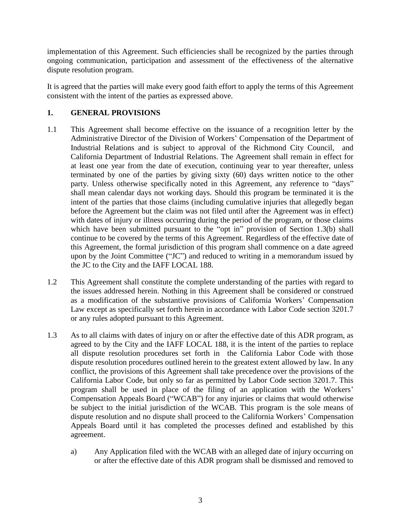implementation of this Agreement. Such efficiencies shall be recognized by the parties through ongoing communication, participation and assessment of the effectiveness of the alternative dispute resolution program.

It is agreed that the parties will make every good faith effort to apply the terms of this Agreement consistent with the intent of the parties as expressed above.

# **1. GENERAL PROVISIONS**

- 1.1 This Agreement shall become effective on the issuance of a recognition letter by the Administrative Director of the Division of Workers' Compensation of the Department of Industrial Relations and is subject to approval of the Richmond City Council, and California Department of Industrial Relations. The Agreement shall remain in effect for at least one year from the date of execution, continuing year to year thereafter, unless terminated by one of the parties by giving sixty (60) days written notice to the other party. Unless otherwise specifically noted in this Agreement, any reference to "days" shall mean calendar days not working days. Should this program be terminated it is the intent of the parties that those claims (including cumulative injuries that allegedly began before the Agreement but the claim was not filed until after the Agreement was in effect) with dates of injury or illness occurring during the period of the program, or those claims which have been submitted pursuant to the "opt in" provision of Section 1.3(b) shall continue to be covered by the terms of this Agreement. Regardless of the effective date of this Agreement, the formal jurisdiction of this program shall commence on a date agreed upon by the Joint Committee ("JC") and reduced to writing in a memorandum issued by the JC to the City and the IAFF LOCAL 188.
- 1.2 This Agreement shall constitute the complete understanding of the parties with regard to the issues addressed herein. Nothing in this Agreement shall be considered or construed as a modification of the substantive provisions of California Workers' Compensation Law except as specifically set forth herein in accordance with Labor Code section 3201.7 or any rules adopted pursuant to this Agreement.
- 1.3 As to all claims with dates of injury on or after the effective date of this ADR program, as agreed to by the City and the IAFF LOCAL 188, it is the intent of the parties to replace all dispute resolution procedures set forth in the California Labor Code with those dispute resolution procedures outlined herein to the greatest extent allowed by law. In any conflict, the provisions of this Agreement shall take precedence over the provisions of the California Labor Code, but only so far as permitted by Labor Code section 3201.7. This program shall be used in place of the filing of an application with the Workers' Compensation Appeals Board ("WCAB") for any injuries or claims that would otherwise be subject to the initial jurisdiction of the WCAB. This program is the sole means of dispute resolution and no dispute shall proceed to the California Workers' Compensation Appeals Board until it has completed the processes defined and established by this agreement.
	- a) Any Application filed with the WCAB with an alleged date of injury occurring on or after the effective date of this ADR program shall be dismissed and removed to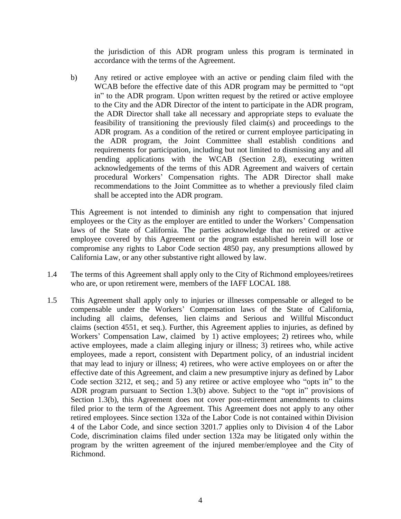the jurisdiction of this ADR program unless this program is terminated in accordance with the terms of the Agreement.

b) Any retired or active employee with an active or pending claim filed with the WCAB before the effective date of this ADR program may be permitted to "opt in" to the ADR program. Upon written request by the retired or active employee to the City and the ADR Director of the intent to participate in the ADR program, the ADR Director shall take all necessary and appropriate steps to evaluate the feasibility of transitioning the previously filed claim(s) and proceedings to the ADR program. As a condition of the retired or current employee participating in the ADR program, the Joint Committee shall establish conditions and requirements for participation, including but not limited to dismissing any and all pending applications with the WCAB (Section 2.8), executing written acknowledgements of the terms of this ADR Agreement and waivers of certain procedural Workers' Compensation rights. The ADR Director shall make recommendations to the Joint Committee as to whether a previously filed claim shall be accepted into the ADR program.

This Agreement is not intended to diminish any right to compensation that injured employees or the City as the employer are entitled to under the Workers' Compensation laws of the State of California. The parties acknowledge that no retired or active employee covered by this Agreement or the program established herein will lose or compromise any rights to Labor Code section 4850 pay, any presumptions allowed by California Law, or any other substantive right allowed by law.

- 1.4 The terms of this Agreement shall apply only to the City of Richmond employees/retirees who are, or upon retirement were, members of the IAFF LOCAL 188.
- 1.5 This Agreement shall apply only to injuries or illnesses compensable or alleged to be compensable under the Workers' Compensation laws of the State of California, including all claims, defenses, lien claims and Serious and Willful Misconduct claims (section 4551, et seq.). Further, this Agreement applies to injuries, as defined by Workers' Compensation Law, claimed by 1) active employees; 2) retirees who, while active employees, made a claim alleging injury or illness; 3) retirees who, while active employees, made a report, consistent with Department policy, of an industrial incident that may lead to injury or illness; 4) retirees, who were active employees on or after the effective date of this Agreement, and claim a new presumptive injury as defined by Labor Code section 3212, et seq.; and 5) any retiree or active employee who "opts in" to the ADR program pursuant to Section 1.3(b) above. Subject to the "opt in" provisions of Section 1.3(b), this Agreement does not cover post-retirement amendments to claims filed prior to the term of the Agreement. This Agreement does not apply to any other retired employees. Since section 132a of the Labor Code is not contained within Division 4 of the Labor Code, and since section 3201.7 applies only to Division 4 of the Labor Code, discrimination claims filed under section 132a may be litigated only within the program by the written agreement of the injured member/employee and the City of Richmond.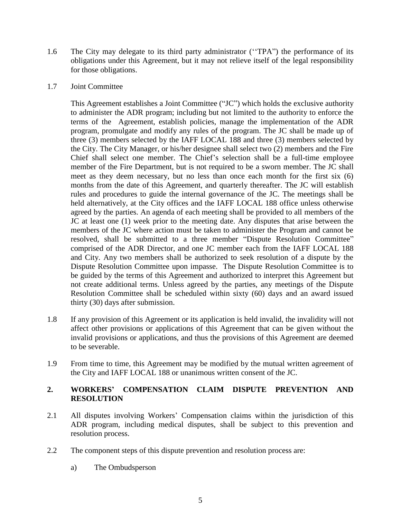1.6 The City may delegate to its third party administrator (''TPA") the performance of its obligations under this Agreement, but it may not relieve itself of the legal responsibility for those obligations.

### 1.7 Joint Committee

This Agreement establishes a Joint Committee ("JC") which holds the exclusive authority to administer the ADR program; including but not limited to the authority to enforce the terms of the Agreement, establish policies, manage the implementation of the ADR program, promulgate and modify any rules of the program. The JC shall be made up of three (3) members selected by the IAFF LOCAL 188 and three (3) members selected by the City. The City Manager, or his/her designee shall select two (2) members and the Fire Chief shall select one member. The Chief's selection shall be a full-time employee member of the Fire Department, but is not required to be a sworn member. The JC shall meet as they deem necessary, but no less than once each month for the first six (6) months from the date of this Agreement, and quarterly thereafter. The JC will establish rules and procedures to guide the internal governance of the JC. The meetings shall be held alternatively, at the City offices and the IAFF LOCAL 188 office unless otherwise agreed by the parties. An agenda of each meeting shall be provided to all members of the JC at least one (1) week prior to the meeting date. Any disputes that arise between the members of the JC where action must be taken to administer the Program and cannot be resolved, shall be submitted to a three member "Dispute Resolution Committee" comprised of the ADR Director, and one JC member each from the IAFF LOCAL 188 and City. Any two members shall be authorized to seek resolution of a dispute by the Dispute Resolution Committee upon impasse. The Dispute Resolution Committee is to be guided by the terms of this Agreement and authorized to interpret this Agreement but not create additional terms. Unless agreed by the parties, any meetings of the Dispute Resolution Committee shall be scheduled within sixty (60) days and an award issued thirty (30) days after submission.

- 1.8 If any provision of this Agreement or its application is held invalid, the invalidity will not affect other provisions or applications of this Agreement that can be given without the invalid provisions or applications, and thus the provisions of this Agreement are deemed to be severable.
- 1.9 From time to time, this Agreement may be modified by the mutual written agreement of the City and IAFF LOCAL 188 or unanimous written consent of the JC.

### **2. WORKERS' COMPENSATION CLAIM DISPUTE PREVENTION AND RESOLUTION**

- 2.1 All disputes involving Workers' Compensation claims within the jurisdiction of this ADR program, including medical disputes, shall be subject to this prevention and resolution process.
- 2.2 The component steps of this dispute prevention and resolution process are:
	- a) The Ombudsperson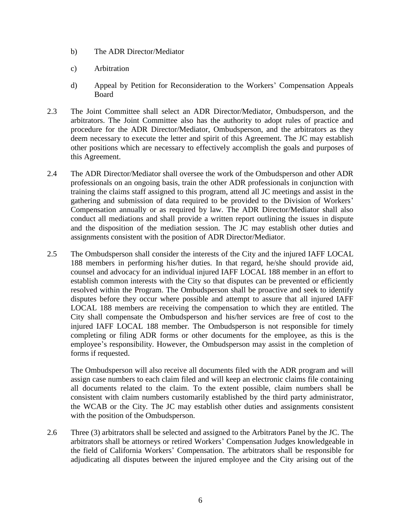- b) The ADR Director/Mediator
- c) Arbitration
- d) Appeal by Petition for Reconsideration to the Workers' Compensation Appeals Board
- 2.3 The Joint Committee shall select an ADR Director/Mediator, Ombudsperson, and the arbitrators. The Joint Committee also has the authority to adopt rules of practice and procedure for the ADR Director/Mediator, Ombudsperson, and the arbitrators as they deem necessary to execute the letter and spirit of this Agreement. The JC may establish other positions which are necessary to effectively accomplish the goals and purposes of this Agreement.
- 2.4 The ADR Director/Mediator shall oversee the work of the Ombudsperson and other ADR professionals on an ongoing basis, train the other ADR professionals in conjunction with training the claims staff assigned to this program, attend all JC meetings and assist in the gathering and submission of data required to be provided to the Division of Workers' Compensation annually or as required by law. The ADR Director/Mediator shall also conduct all mediations and shall provide a written report outlining the issues in dispute and the disposition of the mediation session. The JC may establish other duties and assignments consistent with the position of ADR Director/Mediator.
- 2.5 The Ombudsperson shall consider the interests of the City and the injured IAFF LOCAL 188 members in performing his/her duties. In that regard, he/she should provide aid, counsel and advocacy for an individual injured IAFF LOCAL 188 member in an effort to establish common interests with the City so that disputes can be prevented or efficiently resolved within the Program. The Ombudsperson shall be proactive and seek to identify disputes before they occur where possible and attempt to assure that all injured IAFF LOCAL 188 members are receiving the compensation to which they are entitled. The City shall compensate the Ombudsperson and his/her services are free of cost to the injured IAFF LOCAL 188 member. The Ombudsperson is not responsible for timely completing or filing ADR forms or other documents for the employee, as this is the employee's responsibility. However, the Ombudsperson may assist in the completion of forms if requested.

The Ombudsperson will also receive all documents filed with the ADR program and will assign case numbers to each claim filed and will keep an electronic claims file containing all documents related to the claim. To the extent possible, claim numbers shall be consistent with claim numbers customarily established by the third party administrator, the WCAB or the City. The JC may establish other duties and assignments consistent with the position of the Ombudsperson.

2.6 Three (3) arbitrators shall be selected and assigned to the Arbitrators Panel by the JC. The arbitrators shall be attorneys or retired Workers' Compensation Judges knowledgeable in the field of California Workers' Compensation. The arbitrators shall be responsible for adjudicating all disputes between the injured employee and the City arising out of the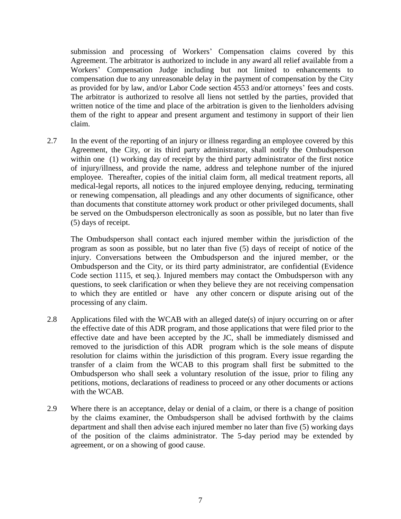submission and processing of Workers' Compensation claims covered by this Agreement. The arbitrator is authorized to include in any award all relief available from a Workers' Compensation Judge including but not limited to enhancements to compensation due to any unreasonable delay in the payment of compensation by the City as provided for by law, and/or Labor Code section 4553 and/or attorneys' fees and costs. The arbitrator is authorized to resolve all liens not settled by the parties, provided that written notice of the time and place of the arbitration is given to the lienholders advising them of the right to appear and present argument and testimony in support of their lien claim.

2.7 In the event of the reporting of an injury or illness regarding an employee covered by this Agreement, the City, or its third party administrator, shall notify the Ombudsperson within one (1) working day of receipt by the third party administrator of the first notice of injury/illness, and provide the name, address and telephone number of the injured employee. Thereafter, copies of the initial claim form, all medical treatment reports, all medical-legal reports, all notices to the injured employee denying, reducing, terminating or renewing compensation, all pleadings and any other documents of significance, other than documents that constitute attorney work product or other privileged documents, shall be served on the Ombudsperson electronically as soon as possible, but no later than five (5) days of receipt.

The Ombudsperson shall contact each injured member within the jurisdiction of the program as soon as possible, but no later than five (5) days of receipt of notice of the injury. Conversations between the Ombudsperson and the injured member, or the Ombudsperson and the City, or its third party administrator, are confidential (Evidence Code section 1115, et seq.). Injured members may contact the Ombudsperson with any questions, to seek clarification or when they believe they are not receiving compensation to which they are entitled or have any other concern or dispute arising out of the processing of any claim.

- 2.8 Applications filed with the WCAB with an alleged date(s) of injury occurring on or after the effective date of this ADR program, and those applications that were filed prior to the effective date and have been accepted by the JC, shall be immediately dismissed and removed to the jurisdiction of this ADR program which is the sole means of dispute resolution for claims within the jurisdiction of this program. Every issue regarding the transfer of a claim from the WCAB to this program shall first be submitted to the Ombudsperson who shall seek a voluntary resolution of the issue, prior to filing any petitions, motions, declarations of readiness to proceed or any other documents or actions with the WCAB.
- 2.9 Where there is an acceptance, delay or denial of a claim, or there is a change of position by the claims examiner, the Ombudsperson shall be advised forthwith by the claims department and shall then advise each injured member no later than five (5) working days of the position of the claims administrator. The 5-day period may be extended by agreement, or on a showing of good cause.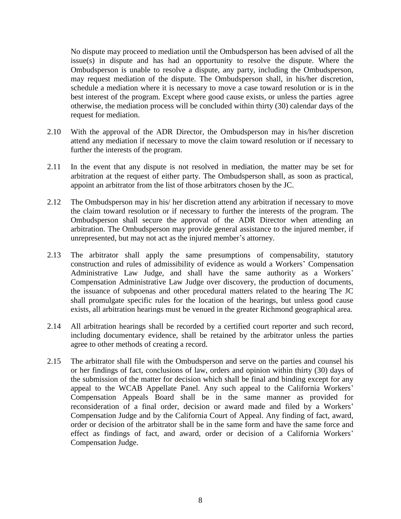No dispute may proceed to mediation until the Ombudsperson has been advised of all the issue(s) in dispute and has had an opportunity to resolve the dispute. Where the Ombudsperson is unable to resolve a dispute, any party, including the Ombudsperson, may request mediation of the dispute. The Ombudsperson shall, in his/her discretion, schedule a mediation where it is necessary to move a case toward resolution or is in the best interest of the program. Except where good cause exists, or unless the parties agree otherwise, the mediation process will be concluded within thirty (30) calendar days of the request for mediation.

- 2.10 With the approval of the ADR Director, the Ombudsperson may in his/her discretion attend any mediation if necessary to move the claim toward resolution or if necessary to further the interests of the program.
- 2.11 In the event that any dispute is not resolved in mediation, the matter may be set for arbitration at the request of either party. The Ombudsperson shall, as soon as practical, appoint an arbitrator from the list of those arbitrators chosen by the JC.
- 2.12 The Ombudsperson may in his/ her discretion attend any arbitration if necessary to move the claim toward resolution or if necessary to further the interests of the program. The Ombudsperson shall secure the approval of the ADR Director when attending an arbitration. The Ombudsperson may provide general assistance to the injured member, if unrepresented, but may not act as the injured member's attorney.
- 2.13 The arbitrator shall apply the same presumptions of compensability, statutory construction and rules of admissibility of evidence as would a Workers' Compensation Administrative Law Judge, and shall have the same authority as a Workers' Compensation Administrative Law Judge over discovery, the production of documents, the issuance of subpoenas and other procedural matters related to the hearing The JC shall promulgate specific rules for the location of the hearings, but unless good cause exists, all arbitration hearings must be venued in the greater Richmond geographical area.
- 2.14 All arbitration hearings shall be recorded by a certified court reporter and such record, including documentary evidence, shall be retained by the arbitrator unless the parties agree to other methods of creating a record.
- 2.15 The arbitrator shall file with the Ombudsperson and serve on the parties and counsel his or her findings of fact, conclusions of law, orders and opinion within thirty (30) days of the submission of the matter for decision which shall be final and binding except for any appeal to the WCAB Appellate Panel. Any such appeal to the California Workers' Compensation Appeals Board shall be in the same manner as provided for reconsideration of a final order, decision or award made and filed by a Workers' Compensation Judge and by the California Court of Appeal. Any finding of fact, award, order or decision of the arbitrator shall be in the same form and have the same force and effect as findings of fact, and award, order or decision of a California Workers' Compensation Judge.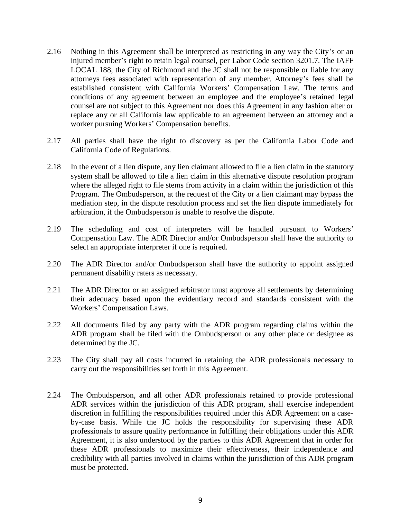- 2.16 Nothing in this Agreement shall be interpreted as restricting in any way the City's or an injured member's right to retain legal counsel, per Labor Code section 3201.7. The IAFF LOCAL 188, the City of Richmond and the JC shall not be responsible or liable for any attorneys fees associated with representation of any member. Attorney's fees shall be established consistent with California Workers' Compensation Law. The terms and conditions of any agreement between an employee and the employee's retained legal counsel are not subject to this Agreement nor does this Agreement in any fashion alter or replace any or all California law applicable to an agreement between an attorney and a worker pursuing Workers' Compensation benefits.
- 2.17 All parties shall have the right to discovery as per the California Labor Code and California Code of Regulations.
- 2.18 In the event of a lien dispute, any lien claimant allowed to file a lien claim in the statutory system shall be allowed to file a lien claim in this alternative dispute resolution program where the alleged right to file stems from activity in a claim within the jurisdiction of this Program. The Ombudsperson, at the request of the City or a lien claimant may bypass the mediation step, in the dispute resolution process and set the lien dispute immediately for arbitration, if the Ombudsperson is unable to resolve the dispute.
- 2.19 The scheduling and cost of interpreters will be handled pursuant to Workers' Compensation Law. The ADR Director and/or Ombudsperson shall have the authority to select an appropriate interpreter if one is required.
- 2.20 The ADR Director and/or Ombudsperson shall have the authority to appoint assigned permanent disability raters as necessary.
- 2.21 The ADR Director or an assigned arbitrator must approve all settlements by determining their adequacy based upon the evidentiary record and standards consistent with the Workers' Compensation Laws.
- 2.22 All documents filed by any party with the ADR program regarding claims within the ADR program shall be filed with the Ombudsperson or any other place or designee as determined by the JC.
- 2.23 The City shall pay all costs incurred in retaining the ADR professionals necessary to carry out the responsibilities set forth in this Agreement.
- 2.24 The Ombudsperson, and all other ADR professionals retained to provide professional ADR services within the jurisdiction of this ADR program, shall exercise independent discretion in fulfilling the responsibilities required under this ADR Agreement on a caseby-case basis. While the JC holds the responsibility for supervising these ADR professionals to assure quality performance in fulfilling their obligations under this ADR Agreement, it is also understood by the parties to this ADR Agreement that in order for these ADR professionals to maximize their effectiveness, their independence and credibility with all parties involved in claims within the jurisdiction of this ADR program must be protected.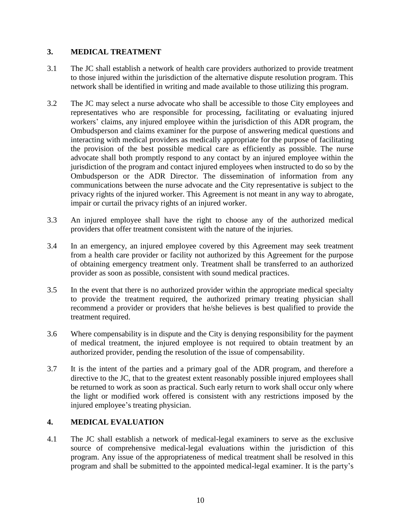# **3. MEDICAL TREATMENT**

- 3.1 The JC shall establish a network of health care providers authorized to provide treatment to those injured within the jurisdiction of the alternative dispute resolution program. This network shall be identified in writing and made available to those utilizing this program.
- 3.2 The JC may select a nurse advocate who shall be accessible to those City employees and representatives who are responsible for processing, facilitating or evaluating injured workers' claims, any injured employee within the jurisdiction of this ADR program, the Ombudsperson and claims examiner for the purpose of answering medical questions and interacting with medical providers as medically appropriate for the purpose of facilitating the provision of the best possible medical care as efficiently as possible. The nurse advocate shall both promptly respond to any contact by an injured employee within the jurisdiction of the program and contact injured employees when instructed to do so by the Ombudsperson or the ADR Director. The dissemination of information from any communications between the nurse advocate and the City representative is subject to the privacy rights of the injured worker. This Agreement is not meant in any way to abrogate, impair or curtail the privacy rights of an injured worker.
- 3.3 An injured employee shall have the right to choose any of the authorized medical providers that offer treatment consistent with the nature of the injuries.
- 3.4 In an emergency, an injured employee covered by this Agreement may seek treatment from a health care provider or facility not authorized by this Agreement for the purpose of obtaining emergency treatment only. Treatment shall be transferred to an authorized provider as soon as possible, consistent with sound medical practices.
- 3.5 In the event that there is no authorized provider within the appropriate medical specialty to provide the treatment required, the authorized primary treating physician shall recommend a provider or providers that he/she believes is best qualified to provide the treatment required.
- 3.6 Where compensability is in dispute and the City is denying responsibility for the payment of medical treatment, the injured employee is not required to obtain treatment by an authorized provider, pending the resolution of the issue of compensability.
- 3.7 It is the intent of the parties and a primary goal of the ADR program, and therefore a directive to the JC, that to the greatest extent reasonably possible injured employees shall be returned to work as soon as practical. Such early return to work shall occur only where the light or modified work offered is consistent with any restrictions imposed by the injured employee's treating physician.

# **4. MEDICAL EVALUATION**

4.1 The JC shall establish a network of medical-legal examiners to serve as the exclusive source of comprehensive medical-legal evaluations within the jurisdiction of this program. Any issue of the appropriateness of medical treatment shall be resolved in this program and shall be submitted to the appointed medical-legal examiner. It is the party's